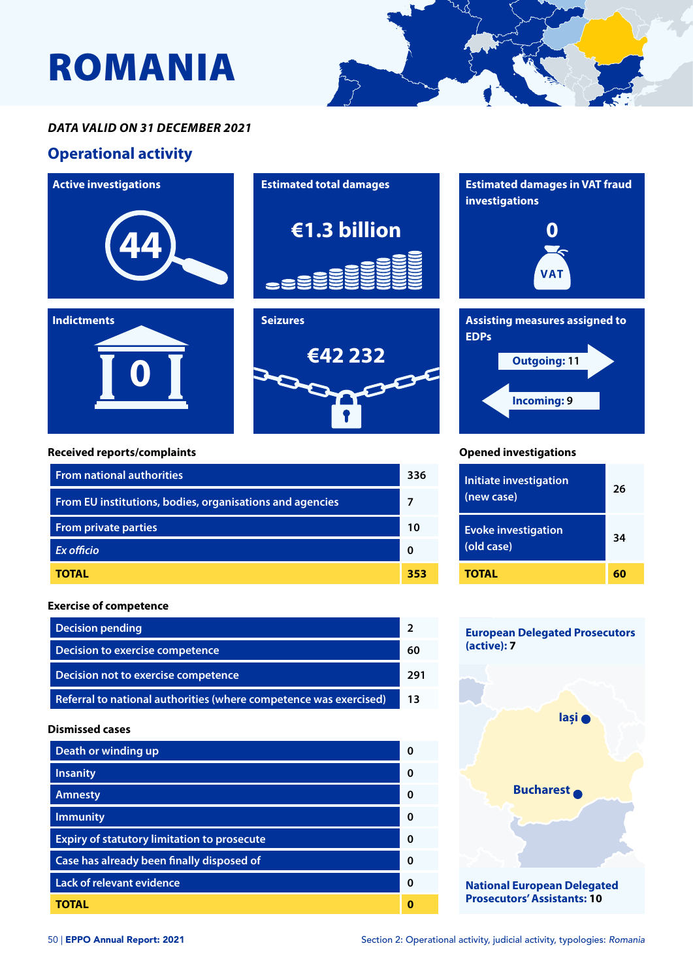# ROMANIA



### *DATA VALID ON 31 DECEMBER 2021*

## **Operational activity**



#### **Received reports/complaints**

| <b>From national authorities</b>                         |     |
|----------------------------------------------------------|-----|
| From EU institutions, bodies, organisations and agencies |     |
| <b>From private parties</b>                              | 10  |
| <b>Ex officio</b>                                        | O   |
| TOTAL                                                    | 353 |

#### **Exercise of competence**

| <b>Decision pending</b>                                           |     |
|-------------------------------------------------------------------|-----|
| Decision to exercise competence                                   | 60  |
| Decision not to exercise competence                               | 291 |
| Referral to national authorities (where competence was exercised) | 13  |

#### **Dismissed cases**

| Death or winding up                                | ŋ |
|----------------------------------------------------|---|
| <b>Insanity</b>                                    | ŋ |
| <b>Amnesty</b>                                     | 0 |
| <b>Immunity</b>                                    | ŋ |
| <b>Expiry of statutory limitation to prosecute</b> | ŋ |
| Case has already been finally disposed of          | O |
| <b>Lack of relevant evidence</b>                   | ŋ |
| TOTAL                                              |   |





#### **Opened investigations**

| <b>Initiate investigation</b><br>(new case) | 26 |
|---------------------------------------------|----|
| <b>Evoke investigation</b><br>(old case)    | 34 |
| TOTAL                                       | 60 |

## **European Delegated Prosecutors (active): 7**